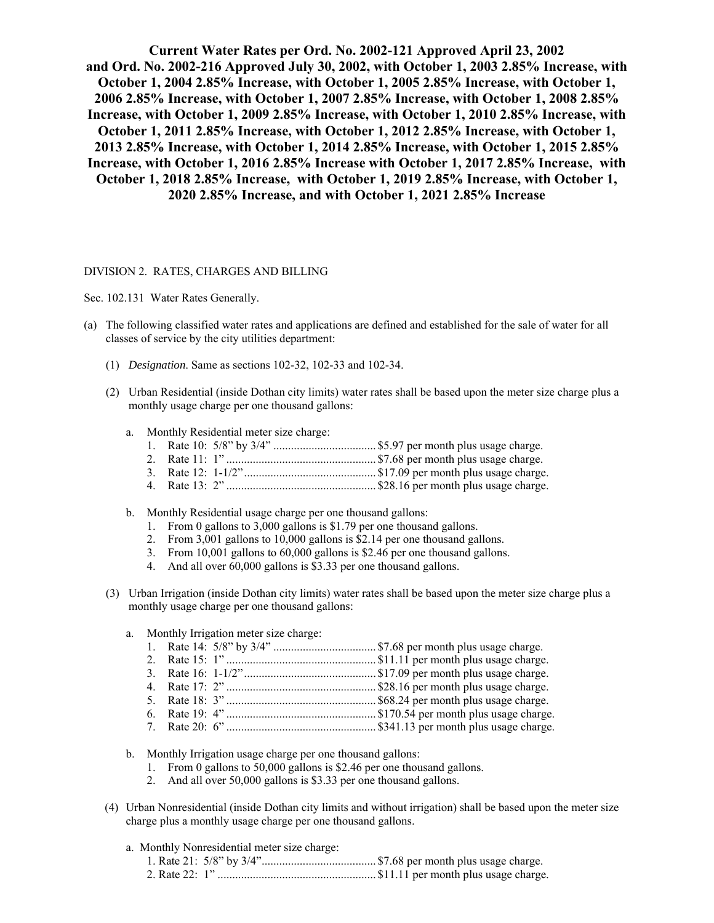**Current Water Rates per Ord. No. 2002-121 Approved April 23, 2002 and Ord. No. 2002-216 Approved July 30, 2002, with October 1, 2003 2.85% Increase, with October 1, 2004 2.85% Increase, with October 1, 2005 2.85% Increase, with October 1, 2006 2.85% Increase, with October 1, 2007 2.85% Increase, with October 1, 2008 2.85% Increase, with October 1, 2009 2.85% Increase, with October 1, 2010 2.85% Increase, with October 1, 2011 2.85% Increase, with October 1, 2012 2.85% Increase, with October 1, 2013 2.85% Increase, with October 1, 2014 2.85% Increase, with October 1, 2015 2.85% Increase, with October 1, 2016 2.85% Increase with October 1, 2017 2.85% Increase, with October 1, 2018 2.85% Increase, with October 1, 2019 2.85% Increase, with October 1, 2020 2.85% Increase, and with October 1, 2021 2.85% Increase** 

## DIVISION 2. RATES, CHARGES AND BILLING

Sec. 102.131 Water Rates Generally.

- (a) The following classified water rates and applications are defined and established for the sale of water for all classes of service by the city utilities department:
	- (1) *Designation*. Same as sections 102-32, 102-33 and 102-34.
	- (2) Urban Residential (inside Dothan city limits) water rates shall be based upon the meter size charge plus a monthly usage charge per one thousand gallons:
		- a. Monthly Residential meter size charge:
			- 1. Rate 10: 5/8" by 3/4" ................................... \$5.97 per month plus usage charge.
			- 2. Rate 11: 1" ................................................... \$7.68 per month plus usage charge.
			- 3. Rate 12: 1-1/2" ............................................. \$17.09 per month plus usage charge.
			- 4. Rate 13: 2" ................................................... \$28.16 per month plus usage charge.
		- b. Monthly Residential usage charge per one thousand gallons:
			- 1. From 0 gallons to 3,000 gallons is \$1.79 per one thousand gallons.
			- 2. From 3,001 gallons to 10,000 gallons is \$2.14 per one thousand gallons.
			- 3. From 10,001 gallons to 60,000 gallons is \$2.46 per one thousand gallons.
			- 4. And all over  $60,000$  gallons is \$3.33 per one thousand gallons.
	- (3) Urban Irrigation (inside Dothan city limits) water rates shall be based upon the meter size charge plus a monthly usage charge per one thousand gallons:
		- a. Monthly Irrigation meter size charge:
			- 1. Rate 14: 5/8" by 3/4" ................................... \$7.68 per month plus usage charge.
			- 2. Rate 15: 1" ................................................... \$11.11 per month plus usage charge.
			- 3. Rate 16: 1-1/2" ............................................. \$17.09 per month plus usage charge.
			- 4. Rate 17: 2" ................................................... \$28.16 per month plus usage charge.
			- 5. Rate 18: 3" ................................................... \$68.24 per month plus usage charge.
			- 6. Rate 19: 4" ................................................... \$170.54 per month plus usage charge.
			- 7. Rate 20: 6" ................................................... \$341.13 per month plus usage charge.
		- b. Monthly Irrigation usage charge per one thousand gallons:
			- 1. From 0 gallons to 50,000 gallons is \$2.46 per one thousand gallons.
			- 2. And all over 50,000 gallons is \$3.33 per one thousand gallons.
	- (4) Urban Nonresidential (inside Dothan city limits and without irrigation) shall be based upon the meter size charge plus a monthly usage charge per one thousand gallons.
		- a. Monthly Nonresidential meter size charge:
			- 1. Rate 21: 5/8" by 3/4" ....................................... \$7.68 per month plus usage charge.
			- 2. Rate 22: 1" ...................................................... \$11.11 per month plus usage charge.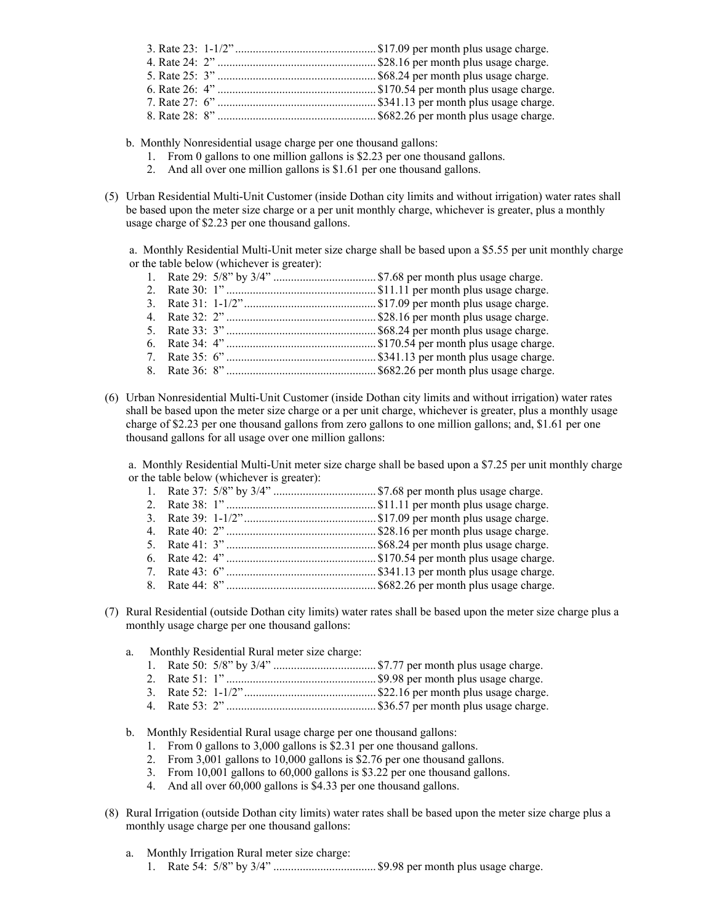b. Monthly Nonresidential usage charge per one thousand gallons:

- 1. From 0 gallons to one million gallons is \$2.23 per one thousand gallons.
- 2. And all over one million gallons is \$1.61 per one thousand gallons.
- (5) Urban Residential Multi-Unit Customer (inside Dothan city limits and without irrigation) water rates shall be based upon the meter size charge or a per unit monthly charge, whichever is greater, plus a monthly usage charge of \$2.23 per one thousand gallons.

a. Monthly Residential Multi-Unit meter size charge shall be based upon a \$5.55 per unit monthly charge or the table below (whichever is greater):

- 1. Rate 29: 5/8" by 3/4" ................................... \$7.68 per month plus usage charge.
- 2. Rate 30: 1" ................................................... \$11.11 per month plus usage charge.
- 3. Rate 31: 1-1/2" ............................................. \$17.09 per month plus usage charge.
- 4. Rate 32: 2" ................................................... \$28.16 per month plus usage charge.
- 5. Rate 33: 3" ................................................... \$68.24 per month plus usage charge.
- 6. Rate 34: 4" ................................................... \$170.54 per month plus usage charge.
- 7. Rate 35: 6" ................................................... \$341.13 per month plus usage charge. 8. Rate 36: 8" ................................................... \$682.26 per month plus usage charge.
- (6) Urban Nonresidential Multi-Unit Customer (inside Dothan city limits and without irrigation) water rates shall be based upon the meter size charge or a per unit charge, whichever is greater, plus a monthly usage charge of \$2.23 per one thousand gallons from zero gallons to one million gallons; and, \$1.61 per one thousand gallons for all usage over one million gallons:

a. Monthly Residential Multi-Unit meter size charge shall be based upon a \$7.25 per unit monthly charge or the table below (whichever is greater):

- 1. Rate 37: 5/8" by 3/4" ................................... \$7.68 per month plus usage charge.
- 2. Rate 38: 1" ................................................... \$11.11 per month plus usage charge.
- 3. Rate 39: 1-1/2" ............................................. \$17.09 per month plus usage charge.
- 4. Rate 40: 2" ................................................... \$28.16 per month plus usage charge.
- 5. Rate 41: 3" ................................................... \$68.24 per month plus usage charge.
- 6. Rate 42: 4" ................................................... \$170.54 per month plus usage charge.
- 7. Rate 43: 6" ................................................... \$341.13 per month plus usage charge.
- 8. Rate 44: 8" ................................................... \$682.26 per month plus usage charge.
- (7) Rural Residential (outside Dothan city limits) water rates shall be based upon the meter size charge plus a monthly usage charge per one thousand gallons:
	- a. Monthly Residential Rural meter size charge:
		- 1. Rate 50: 5/8" by 3/4" ................................... \$7.77 per month plus usage charge.
		- 2. Rate 51: 1" ................................................... \$9.98 per month plus usage charge.
		- 3. Rate 52: 1-1/2" ............................................. \$22.16 per month plus usage charge.
		- 4. Rate 53: 2" ................................................... \$36.57 per month plus usage charge.
	- b. Monthly Residential Rural usage charge per one thousand gallons:
		- 1. From 0 gallons to 3,000 gallons is \$2.31 per one thousand gallons.
		- 2. From 3,001 gallons to 10,000 gallons is \$2.76 per one thousand gallons.
		- 3. From 10,001 gallons to 60,000 gallons is \$3.22 per one thousand gallons.
		- 4. And all over 60,000 gallons is \$4.33 per one thousand gallons.
- (8) Rural Irrigation (outside Dothan city limits) water rates shall be based upon the meter size charge plus a monthly usage charge per one thousand gallons:
	- a. Monthly Irrigation Rural meter size charge:
		- 1. Rate 54: 5/8" by 3/4" ................................... \$9.98 per month plus usage charge.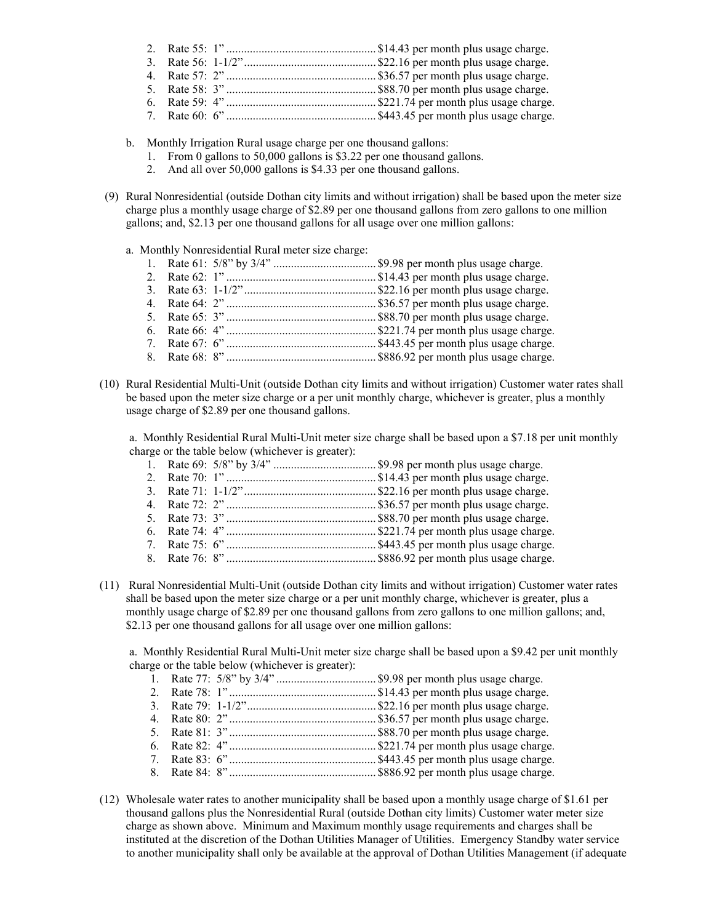- 2. Rate 55: 1" ................................................... \$14.43 per month plus usage charge. 3. Rate 56: 1-1/2" ............................................. \$22.16 per month plus usage charge. 4. Rate 57: 2" ................................................... \$36.57 per month plus usage charge. 5. Rate 58: 3" ................................................... \$88.70 per month plus usage charge.
- 6. Rate 59: 4" ................................................... \$221.74 per month plus usage charge.
- 7. Rate 60: 6" ................................................... \$443.45 per month plus usage charge.
- b. Monthly Irrigation Rural usage charge per one thousand gallons:
	- 1. From 0 gallons to 50,000 gallons is \$3.22 per one thousand gallons.
	- 2. And all over 50,000 gallons is \$4.33 per one thousand gallons.
- (9) Rural Nonresidential (outside Dothan city limits and without irrigation) shall be based upon the meter size charge plus a monthly usage charge of \$2.89 per one thousand gallons from zero gallons to one million gallons; and, \$2.13 per one thousand gallons for all usage over one million gallons:
	- a. Monthly Nonresidential Rural meter size charge:
		- 1. Rate 61: 5/8" by 3/4" ................................... \$9.98 per month plus usage charge.
		- 2. Rate 62: 1" ................................................... \$14.43 per month plus usage charge.
		- 3. Rate 63: 1-1/2" ............................................. \$22.16 per month plus usage charge.
		- 4. Rate 64: 2" ................................................... \$36.57 per month plus usage charge.
		- 5. Rate 65: 3" ................................................... \$88.70 per month plus usage charge.
		- 6. Rate 66: 4" ................................................... \$221.74 per month plus usage charge.
		- 7. Rate 67: 6" ................................................... \$443.45 per month plus usage charge.
		- 8. Rate 68: 8" ................................................... \$886.92 per month plus usage charge.
- (10) Rural Residential Multi-Unit (outside Dothan city limits and without irrigation) Customer water rates shall be based upon the meter size charge or a per unit monthly charge, whichever is greater, plus a monthly usage charge of \$2.89 per one thousand gallons.

a. Monthly Residential Rural Multi-Unit meter size charge shall be based upon a \$7.18 per unit monthly charge or the table below (whichever is greater):

- 1. Rate 69: 5/8" by 3/4" ................................... \$9.98 per month plus usage charge.
- 2. Rate 70: 1" ................................................... \$14.43 per month plus usage charge.
- 3. Rate 71: 1-1/2" ............................................. \$22.16 per month plus usage charge.
- 4. Rate 72: 2" ................................................... \$36.57 per month plus usage charge.
- 5. Rate 73: 3" ................................................... \$88.70 per month plus usage charge.
- 6. Rate 74: 4" ................................................... \$221.74 per month plus usage charge.
- 7. Rate 75: 6" ................................................... \$443.45 per month plus usage charge.
- 8. Rate 76: 8" ................................................... \$886.92 per month plus usage charge.
- (11) Rural Nonresidential Multi-Unit (outside Dothan city limits and without irrigation) Customer water rates shall be based upon the meter size charge or a per unit monthly charge, whichever is greater, plus a monthly usage charge of \$2.89 per one thousand gallons from zero gallons to one million gallons; and, \$2.13 per one thousand gallons for all usage over one million gallons:

a. Monthly Residential Rural Multi-Unit meter size charge shall be based upon a \$9.42 per unit monthly charge or the table below (whichever is greater):

- 1. Rate 77: 5/8" by 3/4" .................................. \$9.98 per month plus usage charge. 2. Rate 78: 1" .................................................. \$14.43 per month plus usage charge. 3. Rate 79: 1-1/2" ............................................ \$22.16 per month plus usage charge. 4. Rate 80: 2" .................................................. \$36.57 per month plus usage charge. 5. Rate 81: 3" .................................................. \$88.70 per month plus usage charge. 6. Rate 82: 4" .................................................. \$221.74 per month plus usage charge. 7. Rate 83: 6" .................................................. \$443.45 per month plus usage charge. 8. Rate 84: 8" .................................................. \$886.92 per month plus usage charge.
- (12) Wholesale water rates to another municipality shall be based upon a monthly usage charge of \$1.61 per thousand gallons plus the Nonresidential Rural (outside Dothan city limits) Customer water meter size charge as shown above. Minimum and Maximum monthly usage requirements and charges shall be instituted at the discretion of the Dothan Utilities Manager of Utilities. Emergency Standby water service to another municipality shall only be available at the approval of Dothan Utilities Management (if adequate